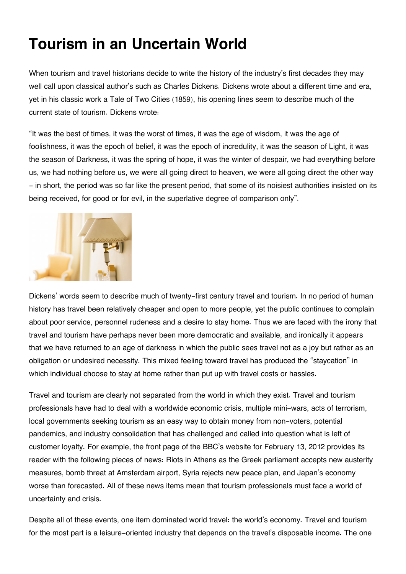## **Tourism in an Uncertain World**

When tourism and travel historians decide to write the history of the industry's first decades they may well call upon classical author's such as Charles Dickens. Dickens wrote about a different time and era, yet in his classic work a Tale of Two Cities (1859), his opening lines seem to describe much of the current state of tourism. Dickens wrote:

"It was the best of times, it was the worst of times, it was the age of wisdom, it was the age of foolishness, it was the epoch of belief, it was the epoch of incredulity, it was the season of Light, it was the season of Darkness, it was the spring of hope, it was the winter of despair, we had everything before us, we had nothing before us, we were all going direct to heaven, we were all going direct the other way - in short, the period was so far like the present period, that some of its noisiest authorities insisted on its being received, for good or for evil, in the superlative degree of comparison only".



Dickens' words seem to describe much of twenty-first century travel and tourism. In no period of human history has travel been relatively cheaper and open to more people, yet the public continues to complain about poor service, personnel rudeness and a desire to stay home. Thus we are faced with the irony that travel and tourism have perhaps never been more democratic and available, and ironically it appears that we have returned to an age of darkness in which the public sees travel not as a joy but rather as an obligation or undesired necessity. This mixed feeling toward travel has produced the "staycation" in which individual choose to stay at home rather than put up with travel costs or hassles.

Travel and tourism are clearly not separated from the world in which they exist. Travel and tourism professionals have had to deal with a worldwide economic crisis, multiple mini-wars, acts of terrorism, local governments seeking tourism as an easy way to obtain money from non-voters, potential pandemics, and industry consolidation that has challenged and called into question what is left of customer loyalty. For example, the front page of the BBC's website for February 13, 2012 provides its reader with the following pieces of news: Riots in Athens as the Greek parliament accepts new austerity measures, bomb threat at Amsterdam airport, Syria rejects new peace plan, and Japan's economy worse than forecasted. All of these news items mean that tourism professionals must face a world of uncertainty and crisis.

Despite all of these events, one item dominated world travel: the world's economy. Travel and tourism for the most part is a leisure-oriented industry that depends on the travel's disposable income. The one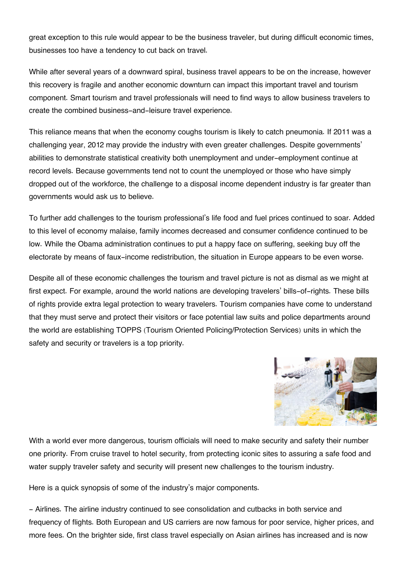great exception to this rule would appear to be the business traveler, but during difficult economic times, businesses too have a tendency to cut back on travel.

While after several years of a downward spiral, business travel appears to be on the increase, however this recovery is fragile and another economic downturn can impact this important travel and tourism component. Smart tourism and travel professionals will need to find ways to allow business travelers to create the combined business-and-leisure travel experience.

This reliance means that when the economy coughs tourism is likely to catch pneumonia. If 2011 was a challenging year, 2012 may provide the industry with even greater challenges. Despite governments' abilities to demonstrate statistical creativity both unemployment and under-employment continue at record levels. Because governments tend not to count the unemployed or those who have simply dropped out of the workforce, the challenge to a disposal income dependent industry is far greater than governments would ask us to believe.

To further add challenges to the tourism professional's life food and fuel prices continued to soar. Added to this level of economy malaise, family incomes decreased and consumer confidence continued to be low. While the Obama administration continues to put a happy face on suffering, seeking buy off the electorate by means of faux-income redistribution, the situation in Europe appears to be even worse.

Despite all of these economic challenges the tourism and travel picture is not as dismal as we might at first expect. For example, around the world nations are developing travelers' bills-of-rights. These bills of rights provide extra legal protection to weary travelers. Tourism companies have come to understand that they must serve and protect their visitors or face potential law suits and police departments around the world are establishing TOPPS (Tourism Oriented Policing/Protection Services) units in which the safety and security or travelers is a top priority.



With a world ever more dangerous, tourism officials will need to make security and safety their number one priority. From cruise travel to hotel security, from protecting iconic sites to assuring a safe food and water supply traveler safety and security will present new challenges to the tourism industry.

Here is a quick synopsis of some of the industry's major components.

- Airlines. The airline industry continued to see consolidation and cutbacks in both service and frequency of flights. Both European and US carriers are now famous for poor service, higher prices, and more fees. On the brighter side, first class travel especially on Asian airlines has increased and is now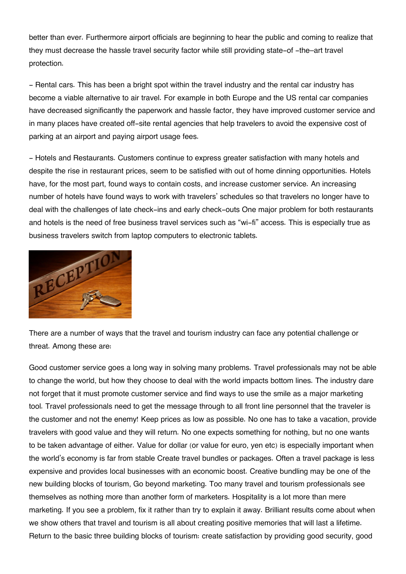better than ever. Furthermore airport officials are beginning to hear the public and coming to realize that they must decrease the hassle travel security factor while still providing state-of -the–art travel protection.

- Rental cars. This has been a bright spot within the travel industry and the rental car industry has become a viable alternative to air travel. For example in both Europe and the US rental car companies have decreased significantly the paperwork and hassle factor, they have improved customer service and in many places have created off-site rental agencies that help travelers to avoid the expensive cost of parking at an airport and paying airport usage fees.

- Hotels and Restaurants. Customers continue to express greater satisfaction with many hotels and despite the rise in restaurant prices, seem to be satisfied with out of home dinning opportunities. Hotels have, for the most part, found ways to contain costs, and increase customer service. An increasing number of hotels have found ways to work with travelers' schedules so that travelers no longer have to deal with the challenges of late check-ins and early check-outs One major problem for both restaurants and hotels is the need of free business travel services such as "wi-fi" access. This is especially true as business travelers switch from laptop computers to electronic tablets.



There are a number of ways that the travel and tourism industry can face any potential challenge or threat. Among these are:

Good customer service goes a long way in solving many problems. Travel professionals may not be able to change the world, but how they choose to deal with the world impacts bottom lines. The industry dare not forget that it must promote customer service and find ways to use the smile as a major marketing tool. Travel professionals need to get the message through to all front line personnel that the traveler is the customer and not the enemy! Keep prices as low as possible. No one has to take a vacation, provide travelers with good value and they will return. No one expects something for nothing, but no one wants to be taken advantage of either. Value for dollar (or value for euro, yen etc) is especially important when the world's economy is far from stable Create travel bundles or packages. Often a travel package is less expensive and provides local businesses with an economic boost. Creative bundling may be one of the new building blocks of tourism, Go beyond marketing. Too many travel and tourism professionals see themselves as nothing more than another form of marketers. Hospitality is a lot more than mere marketing. If you see a problem, fix it rather than try to explain it away. Brilliant results come about when we show others that travel and tourism is all about creating positive memories that will last a lifetime. Return to the basic three building blocks of tourism: create satisfaction by providing good security, good